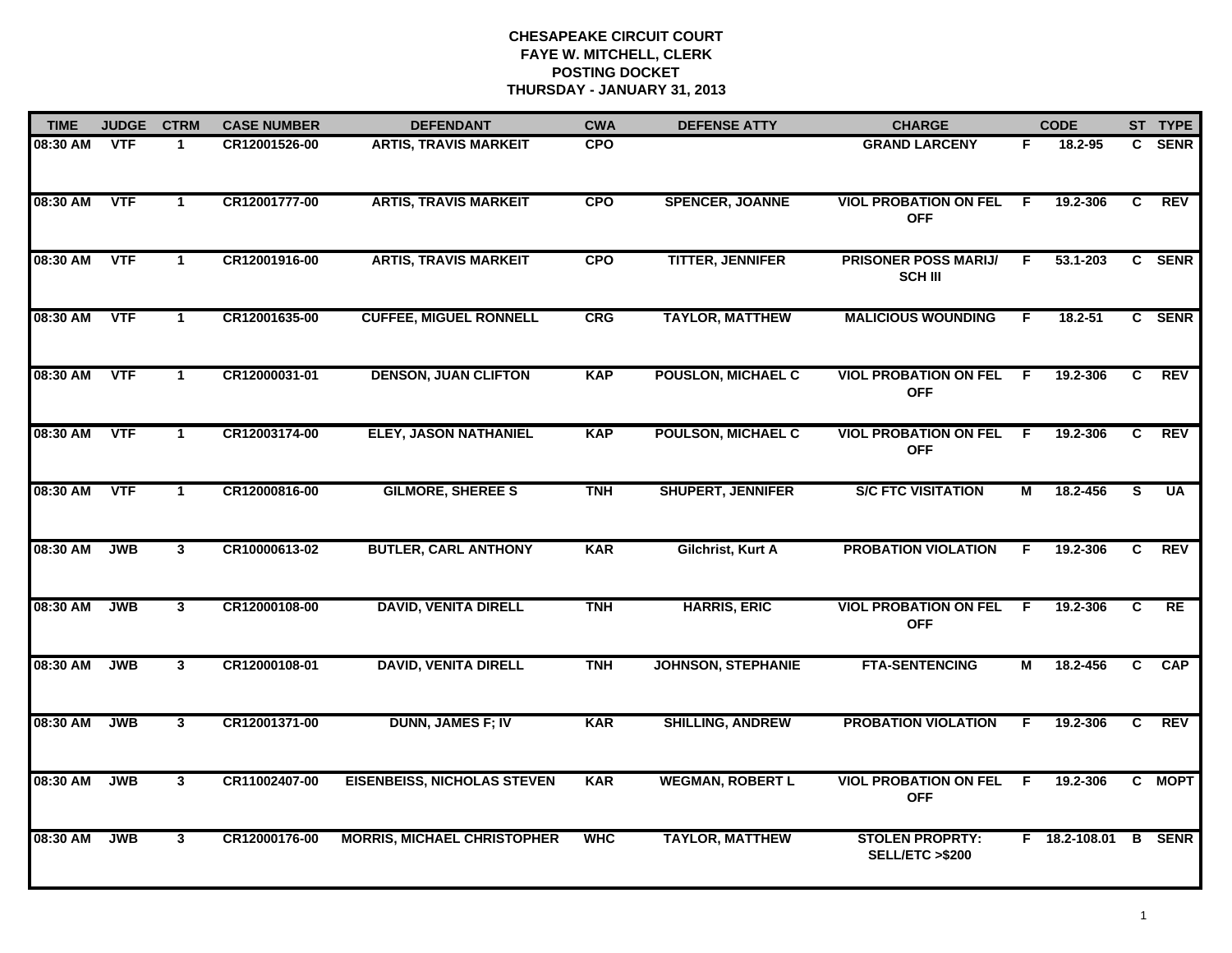| <b>TIME</b> | <b>JUDGE</b> | <b>CTRM</b>  | <b>CASE NUMBER</b> | <b>DEFENDANT</b>                   | <b>CWA</b> | <b>DEFENSE ATTY</b>       | <b>CHARGE</b>                                 |                | <b>CODE</b>   |                | ST TYPE       |
|-------------|--------------|--------------|--------------------|------------------------------------|------------|---------------------------|-----------------------------------------------|----------------|---------------|----------------|---------------|
| 08:30 AM    | <b>VTF</b>   |              | CR12001526-00      | <b>ARTIS, TRAVIS MARKEIT</b>       | <b>CPO</b> |                           | <b>GRAND LARCENY</b>                          | F.             | 18.2-95       |                | C SENR        |
| 08:30 AM    | <b>VTF</b>   | $\mathbf{1}$ | CR12001777-00      | <b>ARTIS, TRAVIS MARKEIT</b>       | <b>CPO</b> | <b>SPENCER, JOANNE</b>    | <b>VIOL PROBATION ON FEL</b><br><b>OFF</b>    | $\overline{F}$ | 19.2-306      | $\overline{c}$ | REV           |
| 08:30 AM    | <b>VTF</b>   | $\mathbf{1}$ | CR12001916-00      | <b>ARTIS, TRAVIS MARKEIT</b>       | <b>CPO</b> | <b>TITTER, JENNIFER</b>   | <b>PRISONER POSS MARIJ/</b><br><b>SCH III</b> | F.             | 53.1-203      |                | C SENR        |
| 08:30 AM    | <b>VTF</b>   | $\mathbf 1$  | CR12001635-00      | <b>CUFFEE, MIGUEL RONNELL</b>      | CRG        | <b>TAYLOR, MATTHEW</b>    | <b>MALICIOUS WOUNDING</b>                     | E              | 18.2-51       |                | C SENR        |
| 08:30 AM    | <b>VTF</b>   | $\mathbf{1}$ | CR12000031-01      | <b>DENSON, JUAN CLIFTON</b>        | <b>KAP</b> | <b>POUSLON, MICHAEL C</b> | <b>VIOL PROBATION ON FEL</b><br><b>OFF</b>    | F.             | 19.2-306      | $\mathbf{c}$   | <b>REV</b>    |
| 08:30 AM    | <b>VTF</b>   | $\mathbf 1$  | CR12003174-00      | <b>ELEY, JASON NATHANIEL</b>       | <b>KAP</b> | <b>POULSON, MICHAEL C</b> | <b>VIOL PROBATION ON FEL</b><br><b>OFF</b>    | - F            | 19.2-306      | C              | REV           |
| 08:30 AM    | <b>VTF</b>   | $\mathbf{1}$ | CR12000816-00      | <b>GILMORE, SHEREE S</b>           | <b>TNH</b> | <b>SHUPERT, JENNIFER</b>  | <b>S/C FTC VISITATION</b>                     | $\overline{M}$ | 18.2-456      | S              | <b>UA</b>     |
| 08:30 AM    | <b>JWB</b>   | 3            | CR10000613-02      | <b>BUTLER, CARL ANTHONY</b>        | <b>KAR</b> | Gilchrist, Kurt A         | <b>PROBATION VIOLATION</b>                    | F              | 19.2-306      | C.             | REV           |
| 08:30 AM    | <b>JWB</b>   | 3            | CR12000108-00      | <b>DAVID, VENITA DIRELL</b>        | <b>TNH</b> | <b>HARRIS, ERIC</b>       | <b>VIOL PROBATION ON FEL</b><br><b>OFF</b>    | -F             | 19.2-306      | C              | RE            |
| 08:30 AM    | <b>JWB</b>   | $\mathbf{3}$ | CR12000108-01      | <b>DAVID, VENITA DIRELL</b>        | <b>TNH</b> | <b>JOHNSON, STEPHANIE</b> | <b>FTA-SENTENCING</b>                         | М              | 18.2-456      | $\mathbf{C}$   | <b>CAP</b>    |
| 08:30 AM    | <b>JWB</b>   | 3            | CR12001371-00      | <b>DUNN, JAMES F; IV</b>           | <b>KAR</b> | <b>SHILLING, ANDREW</b>   | <b>PROBATION VIOLATION</b>                    | F.             | 19.2-306      | C.             | <b>REV</b>    |
| 08:30 AM    | <b>JWB</b>   | 3            | CR11002407-00      | <b>EISENBEISS, NICHOLAS STEVEN</b> | <b>KAR</b> | <b>WEGMAN, ROBERT L</b>   | <b>VIOL PROBATION ON FEL</b><br><b>OFF</b>    | -F.            | 19.2-306      |                | C MOPT        |
| 08:30 AM    | <b>JWB</b>   | 3            | CR12000176-00      | <b>MORRIS, MICHAEL CHRISTOPHER</b> | <b>WHC</b> | <b>TAYLOR, MATTHEW</b>    | <b>STOLEN PROPRTY:</b><br>SELL/ETC >\$200     |                | F 18.2-108.01 |                | <b>B</b> SENR |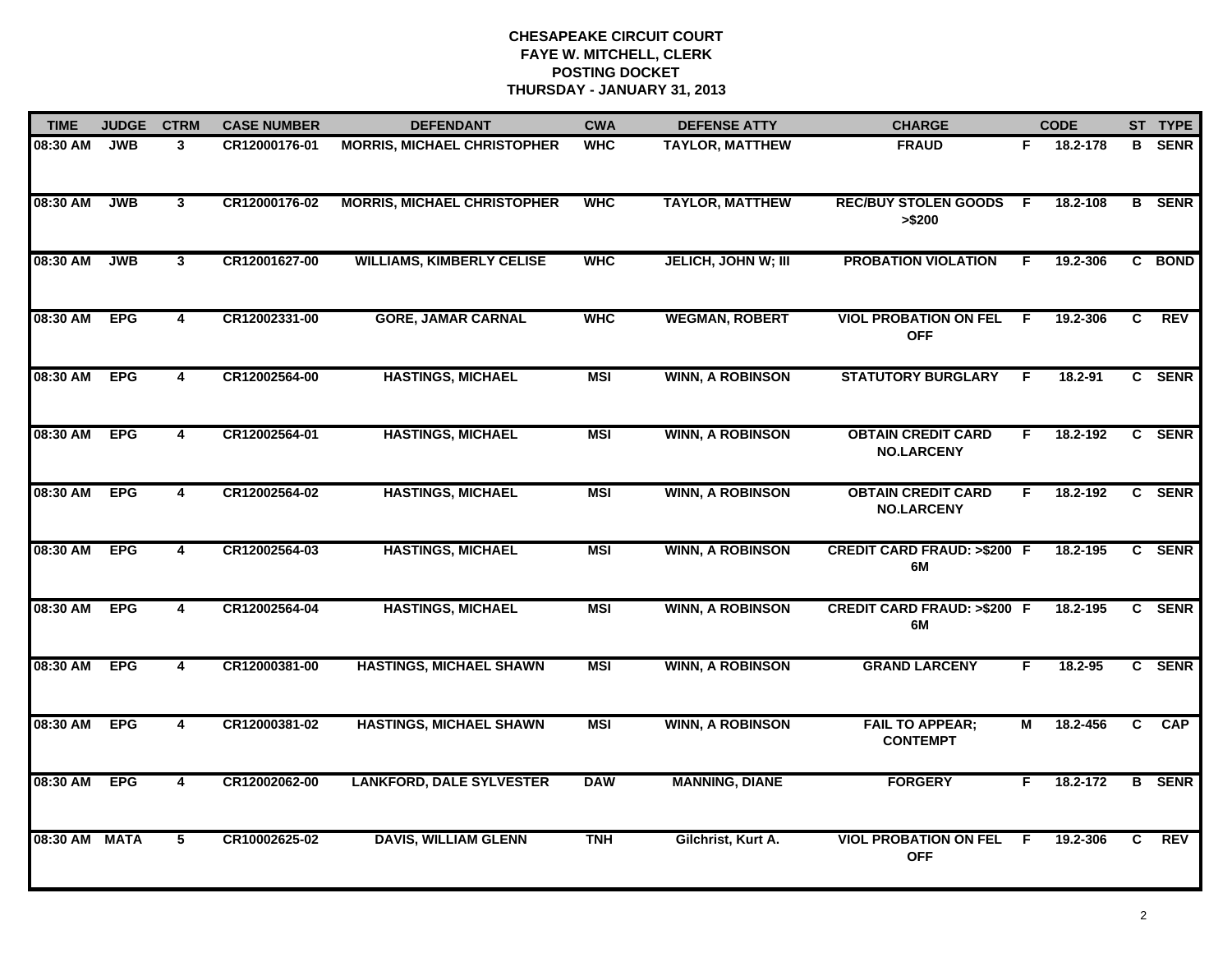| <b>TIME</b>   | <b>JUDGE</b> | <b>CTRM</b>             | <b>CASE NUMBER</b> | <b>DEFENDANT</b>                   | <b>CWA</b> | <b>DEFENSE ATTY</b>        | <b>CHARGE</b>                                  |    | <b>CODE</b> |    | ST TYPE       |
|---------------|--------------|-------------------------|--------------------|------------------------------------|------------|----------------------------|------------------------------------------------|----|-------------|----|---------------|
| 08:30 AM      | <b>JWB</b>   | 3                       | CR12000176-01      | <b>MORRIS, MICHAEL CHRISTOPHER</b> | <b>WHC</b> | <b>TAYLOR, MATTHEW</b>     | <b>FRAUD</b>                                   | F. | 18.2-178    |    | <b>B</b> SENR |
| 08:30 AM      | <b>JWB</b>   | $\mathbf{3}$            | CR12000176-02      | <b>MORRIS, MICHAEL CHRISTOPHER</b> | <b>WHC</b> | <b>TAYLOR, MATTHEW</b>     | <b>REC/BUY STOLEN GOODS</b><br>> \$200         | F. | 18.2-108    |    | <b>B</b> SENR |
| 08:30 AM      | <b>JWB</b>   | $\mathbf{3}$            | CR12001627-00      | <b>WILLIAMS, KIMBERLY CELISE</b>   | <b>WHC</b> | <b>JELICH, JOHN W; III</b> | <b>PROBATION VIOLATION</b>                     | F. | 19.2-306    |    | C BOND        |
| 08:30 AM      | <b>EPG</b>   | 4                       | CR12002331-00      | <b>GORE, JAMAR CARNAL</b>          | <b>WHC</b> | <b>WEGMAN, ROBERT</b>      | <b>VIOL PROBATION ON FEL</b><br><b>OFF</b>     | -F | 19.2-306    | C. | <b>REV</b>    |
| 08:30 AM      | <b>EPG</b>   | 4                       | CR12002564-00      | <b>HASTINGS, MICHAEL</b>           | <b>MSI</b> | <b>WINN, A ROBINSON</b>    | <b>STATUTORY BURGLARY</b>                      | F  | 18.2-91     |    | C SENR        |
| 08:30 AM EPG  |              | 4                       | CR12002564-01      | <b>HASTINGS, MICHAEL</b>           | <b>MSI</b> | <b>WINN, A ROBINSON</b>    | <b>OBTAIN CREDIT CARD</b><br><b>NO.LARCENY</b> | F. | 18.2-192    |    | C SENR        |
| 08:30 AM EPG  |              | $\overline{\mathbf{4}}$ | CR12002564-02      | <b>HASTINGS, MICHAEL</b>           | <b>MSI</b> | <b>WINN, A ROBINSON</b>    | <b>OBTAIN CREDIT CARD</b><br><b>NO.LARCENY</b> | F. | 18.2-192    |    | C SENR        |
| 08:30 AM      | <b>EPG</b>   | $\overline{\mathbf{4}}$ | CR12002564-03      | <b>HASTINGS, MICHAEL</b>           | <b>MSI</b> | <b>WINN, A ROBINSON</b>    | <b>CREDIT CARD FRAUD: &gt;\$200 F</b><br>6M    |    | 18.2-195    |    | C SENR        |
| 08:30 AM      | <b>EPG</b>   | $\overline{\mathbf{4}}$ | CR12002564-04      | <b>HASTINGS, MICHAEL</b>           | <b>MSI</b> | <b>WINN, A ROBINSON</b>    | <b>CREDIT CARD FRAUD: &gt;\$200 F</b><br>6M    |    | 18.2-195    |    | C SENR        |
| 08:30 AM      | <b>EPG</b>   | 4                       | CR12000381-00      | <b>HASTINGS, MICHAEL SHAWN</b>     | <b>MSI</b> | <b>WINN, A ROBINSON</b>    | <b>GRAND LARCENY</b>                           | F. | 18.2-95     |    | C SENR        |
| 08:30 AM EPG  |              | 4                       | CR12000381-02      | <b>HASTINGS, MICHAEL SHAWN</b>     | <b>MSI</b> | <b>WINN, A ROBINSON</b>    | <b>FAIL TO APPEAR;</b><br><b>CONTEMPT</b>      | М  | 18.2-456    | C  | CAP           |
| 08:30 AM      | <b>EPG</b>   | $\overline{\mathbf{4}}$ | CR12002062-00      | <b>LANKFORD, DALE SYLVESTER</b>    | <b>DAW</b> | <b>MANNING, DIANE</b>      | <b>FORGERY</b>                                 | F. | 18.2-172    | B  | <b>SENR</b>   |
| 08:30 AM MATA |              | 5                       | CR10002625-02      | <b>DAVIS, WILLIAM GLENN</b>        | <b>TNH</b> | Gilchrist, Kurt A.         | <b>VIOL PROBATION ON FEL</b><br><b>OFF</b>     | -F | 19.2-306    | C. | <b>REV</b>    |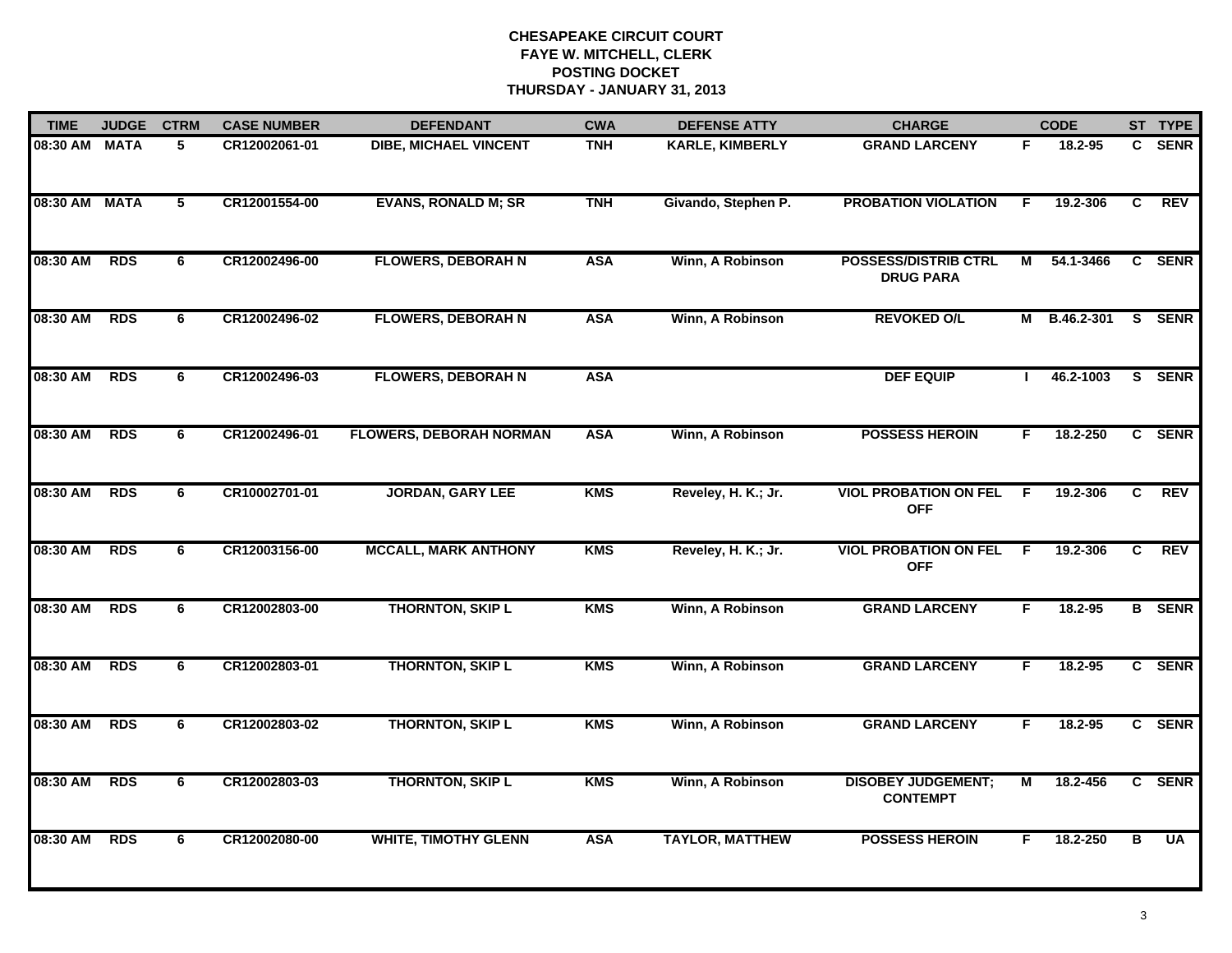| <b>TIME</b>   | <b>JUDGE</b> | <b>CTRM</b> | <b>CASE NUMBER</b> | <b>DEFENDANT</b>               | <b>CWA</b> | <b>DEFENSE ATTY</b>    | <b>CHARGE</b>                                   |    | <b>CODE</b> |   | ST TYPE       |
|---------------|--------------|-------------|--------------------|--------------------------------|------------|------------------------|-------------------------------------------------|----|-------------|---|---------------|
| 08:30 AM MATA |              | 5           | CR12002061-01      | <b>DIBE, MICHAEL VINCENT</b>   | <b>TNH</b> | <b>KARLE, KIMBERLY</b> | <b>GRAND LARCENY</b>                            | F. | 18.2-95     |   | C SENR        |
| 08:30 AM MATA |              | 5           | CR12001554-00      | <b>EVANS, RONALD M; SR</b>     | <b>TNH</b> | Givando, Stephen P.    | <b>PROBATION VIOLATION</b>                      | E  | 19.2-306    | C | <b>REV</b>    |
| 08:30 AM      | <b>RDS</b>   | 6           | CR12002496-00      | <b>FLOWERS, DEBORAH N</b>      | <b>ASA</b> | Winn, A Robinson       | <b>POSSESS/DISTRIB CTRL</b><br><b>DRUG PARA</b> | М  | 54.1-3466   |   | C SENR        |
| 08:30 AM      | <b>RDS</b>   | 6           | CR12002496-02      | <b>FLOWERS, DEBORAH N</b>      | <b>ASA</b> | Winn, A Robinson       | <b>REVOKED O/L</b>                              | м  | B.46.2-301  |   | S SENR        |
| 08:30 AM      | <b>RDS</b>   | 6           | CR12002496-03      | <b>FLOWERS, DEBORAH N</b>      | <b>ASA</b> |                        | <b>DEF EQUIP</b>                                |    | 46.2-1003   |   | S SENR        |
| 08:30 AM      | <b>RDS</b>   | 6           | CR12002496-01      | <b>FLOWERS, DEBORAH NORMAN</b> | <b>ASA</b> | Winn, A Robinson       | <b>POSSESS HEROIN</b>                           | F. | 18.2-250    |   | C SENR        |
| 08:30 AM      | <b>RDS</b>   | 6           | CR10002701-01      | <b>JORDAN, GARY LEE</b>        | <b>KMS</b> | Reveley, H. K.; Jr.    | <b>VIOL PROBATION ON FEL</b><br><b>OFF</b>      | E  | 19.2-306    | C | <b>REV</b>    |
| 08:30 AM      | <b>RDS</b>   | 6           | CR12003156-00      | <b>MCCALL, MARK ANTHONY</b>    | <b>KMS</b> | Reveley, H. K.; Jr.    | <b>VIOL PROBATION ON FEL</b><br><b>OFF</b>      | F. | 19.2-306    | C | <b>REV</b>    |
| 08:30 AM      | <b>RDS</b>   | 6           | CR12002803-00      | <b>THORNTON, SKIP L</b>        | <b>KMS</b> | Winn, A Robinson       | <b>GRAND LARCENY</b>                            | F. | $18.2 - 95$ |   | <b>B</b> SENR |
| 08:30 AM      | <b>RDS</b>   | 6           | CR12002803-01      | <b>THORNTON, SKIP L</b>        | <b>KMS</b> | Winn, A Robinson       | <b>GRAND LARCENY</b>                            | F. | 18.2-95     |   | C SENR        |
| 08:30 AM      | <b>RDS</b>   | 6           | CR12002803-02      | <b>THORNTON, SKIP L</b>        | <b>KMS</b> | Winn, A Robinson       | <b>GRAND LARCENY</b>                            | F  | 18.2-95     |   | C SENR        |
| 08:30 AM      | <b>RDS</b>   | 6           | CR12002803-03      | <b>THORNTON, SKIP L</b>        | <b>KMS</b> | Winn, A Robinson       | <b>DISOBEY JUDGEMENT;</b><br><b>CONTEMPT</b>    | М  | 18.2-456    |   | C SENR        |
| 08:30 AM      | <b>RDS</b>   | 6           | CR12002080-00      | <b>WHITE, TIMOTHY GLENN</b>    | <b>ASA</b> | <b>TAYLOR, MATTHEW</b> | <b>POSSESS HEROIN</b>                           | F. | 18.2-250    | в | <b>UA</b>     |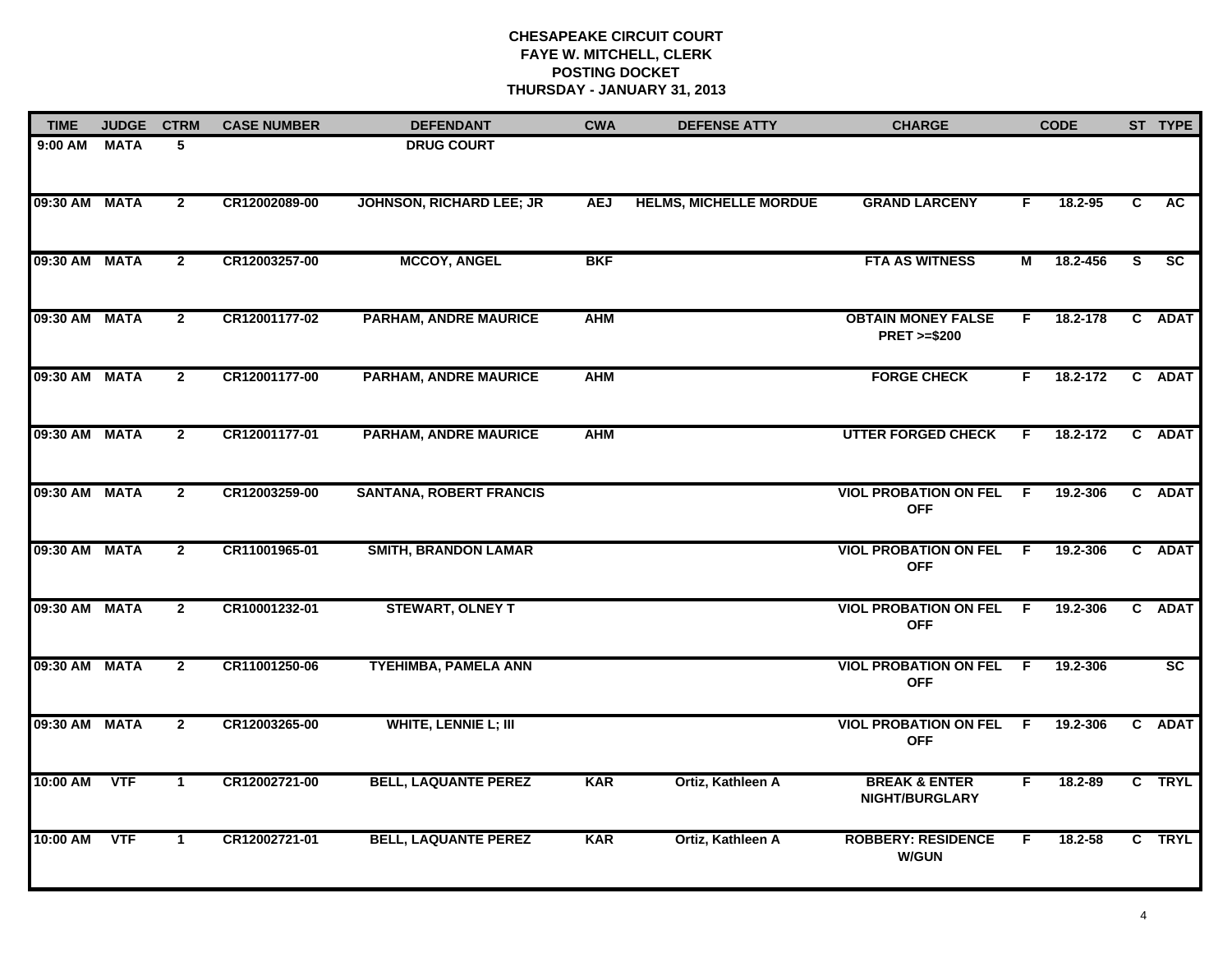| <b>TIME</b>   | <b>JUDGE</b> | <b>CTRM</b>  | <b>CASE NUMBER</b> | <b>DEFENDANT</b>                | <b>CWA</b> | <b>DEFENSE ATTY</b>           | <b>CHARGE</b>                                       |     | <b>CODE</b> |    | ST TYPE   |
|---------------|--------------|--------------|--------------------|---------------------------------|------------|-------------------------------|-----------------------------------------------------|-----|-------------|----|-----------|
| 9:00 AM       | <b>MATA</b>  | 5            |                    | <b>DRUG COURT</b>               |            |                               |                                                     |     |             |    |           |
| 09:30 AM MATA |              | $\mathbf{2}$ | CR12002089-00      | <b>JOHNSON, RICHARD LEE; JR</b> | <b>AEJ</b> | <b>HELMS, MICHELLE MORDUE</b> | <b>GRAND LARCENY</b>                                | F.  | 18.2-95     | C  | <b>AC</b> |
| 09:30 AM MATA |              | $\mathbf{2}$ | CR12003257-00      | <b>MCCOY, ANGEL</b>             | <b>BKF</b> |                               | <b>FTA AS WITNESS</b>                               | М   | 18.2-456    | S. | SC        |
| 09:30 AM MATA |              | $\mathbf{2}$ | CR12001177-02      | <b>PARHAM, ANDRE MAURICE</b>    | <b>AHM</b> |                               | <b>OBTAIN MONEY FALSE</b><br><b>PRET &gt;=\$200</b> | F.  | 18.2-178    |    | C ADAT    |
| 09:30 AM MATA |              | $\mathbf{2}$ | CR12001177-00      | <b>PARHAM, ANDRE MAURICE</b>    | <b>AHM</b> |                               | <b>FORGE CHECK</b>                                  | F.  | 18.2-172    |    | C ADAT    |
| 09:30 AM MATA |              | $\mathbf{2}$ | CR12001177-01      | <b>PARHAM, ANDRE MAURICE</b>    | <b>AHM</b> |                               | <b>UTTER FORGED CHECK</b>                           | F.  | 18.2-172    |    | C ADAT    |
| 09:30 AM MATA |              | $\mathbf{2}$ | CR12003259-00      | <b>SANTANA, ROBERT FRANCIS</b>  |            |                               | <b>VIOL PROBATION ON FEL F</b><br><b>OFF</b>        |     | 19.2-306    |    | C ADAT    |
| 09:30 AM MATA |              | $\mathbf{2}$ | CR11001965-01      | <b>SMITH, BRANDON LAMAR</b>     |            |                               | <b>VIOL PROBATION ON FEL</b><br><b>OFF</b>          | - F | 19.2-306    |    | C ADAT    |
| 09:30 AM MATA |              | $\mathbf{2}$ | CR10001232-01      | <b>STEWART, OLNEY T</b>         |            |                               | <b>VIOL PROBATION ON FEL</b><br><b>OFF</b>          | F.  | 19.2-306    |    | C ADAT    |
| 09:30 AM MATA |              | $\mathbf{2}$ | CR11001250-06      | <b>TYEHIMBA, PAMELA ANN</b>     |            |                               | <b>VIOL PROBATION ON FEL F</b><br><b>OFF</b>        |     | 19.2-306    |    | SC        |
| 09:30 AM MATA |              | $\mathbf{2}$ | CR12003265-00      | <b>WHITE, LENNIE L; III</b>     |            |                               | <b>VIOL PROBATION ON FEL F</b><br><b>OFF</b>        |     | 19.2-306    |    | C ADAT    |
| 10:00 AM VTF  |              | $\mathbf{1}$ | CR12002721-00      | <b>BELL, LAQUANTE PEREZ</b>     | <b>KAR</b> | Ortiz, Kathleen A             | <b>BREAK &amp; ENTER</b><br><b>NIGHT/BURGLARY</b>   | F   | 18.2-89     |    | C TRYL    |
| 10:00 AM      | <b>VTF</b>   | 1            | CR12002721-01      | <b>BELL, LAQUANTE PEREZ</b>     | <b>KAR</b> | Ortiz, Kathleen A             | <b>ROBBERY: RESIDENCE</b><br><b>W/GUN</b>           | E   | 18.2-58     |    | C TRYL    |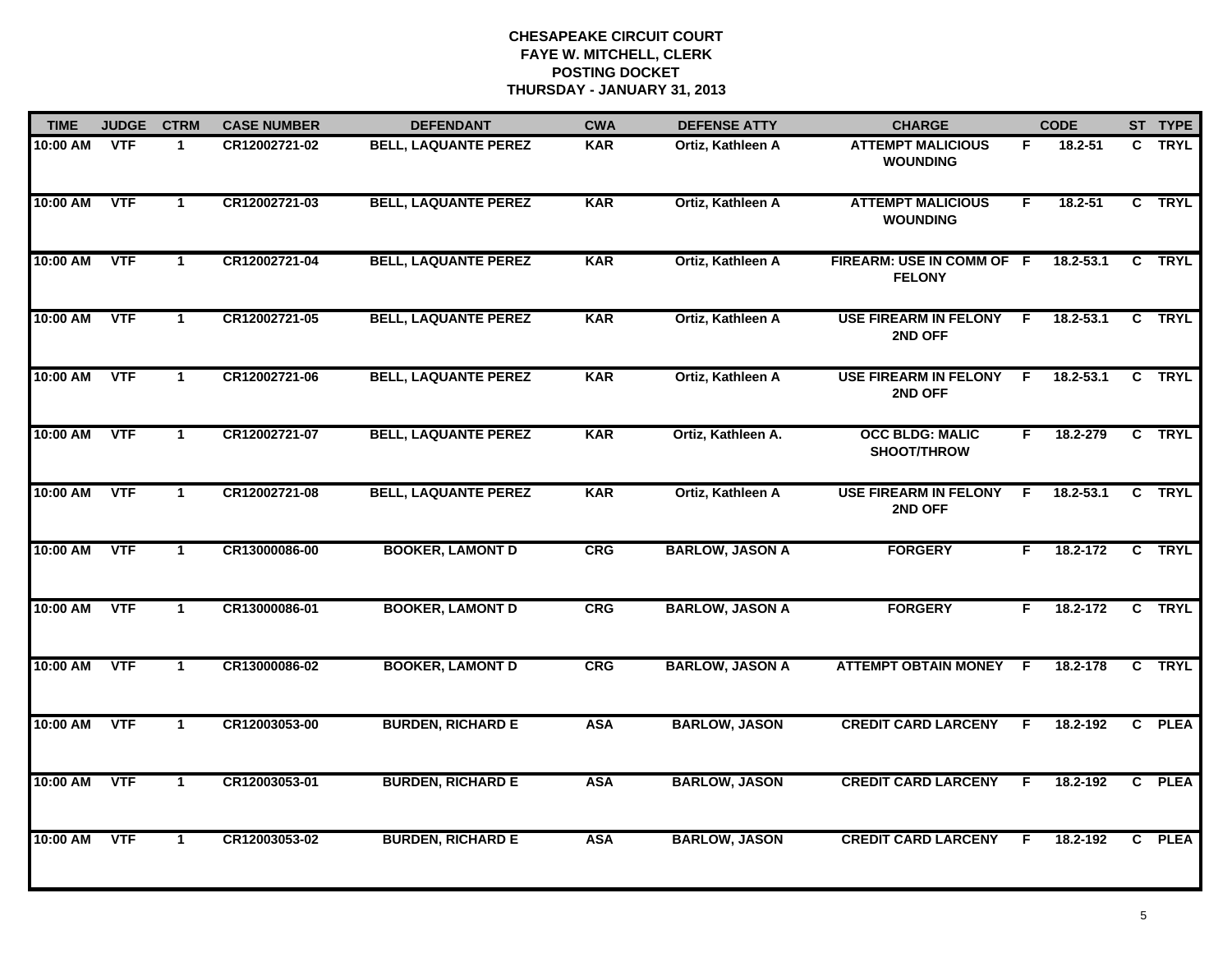| <b>TIME</b> | <b>JUDGE</b> | <b>CTRM</b>  | <b>CASE NUMBER</b> | <b>DEFENDANT</b>            | <b>CWA</b> | <b>DEFENSE ATTY</b>    | <b>CHARGE</b>                                |     | <b>CODE</b>   |                | ST TYPE     |
|-------------|--------------|--------------|--------------------|-----------------------------|------------|------------------------|----------------------------------------------|-----|---------------|----------------|-------------|
| 10:00 AM    | <b>VTF</b>   | $\mathbf 1$  | CR12002721-02      | <b>BELL, LAQUANTE PEREZ</b> | <b>KAR</b> | Ortiz, Kathleen A      | <b>ATTEMPT MALICIOUS</b><br><b>WOUNDING</b>  | F.  | 18.2-51       |                | C TRYL      |
| 10:00 AM    | <b>VTF</b>   | $\mathbf{1}$ | CR12002721-03      | <b>BELL, LAQUANTE PEREZ</b> | <b>KAR</b> | Ortiz, Kathleen A      | <b>ATTEMPT MALICIOUS</b><br><b>WOUNDING</b>  | F   | 18.2-51       |                | C TRYL      |
| 10:00 AM    | <b>VTF</b>   | $\mathbf 1$  | CR12002721-04      | <b>BELL, LAQUANTE PEREZ</b> | <b>KAR</b> | Ortiz, Kathleen A      | FIREARM: USE IN COMM OF F<br><b>FELONY</b>   |     | 18.2-53.1     |                | C TRYL      |
| 10:00 AM    | <b>VTF</b>   | $\mathbf 1$  | CR12002721-05      | <b>BELL, LAQUANTE PEREZ</b> | <b>KAR</b> | Ortiz, Kathleen A      | <b>USE FIREARM IN FELONY</b><br>2ND OFF      | -F. | 18.2-53.1     | C.             | <b>TRYL</b> |
| 10:00 AM    | <b>VTF</b>   | $\mathbf 1$  | CR12002721-06      | <b>BELL, LAQUANTE PEREZ</b> | <b>KAR</b> | Ortiz, Kathleen A      | <b>USE FIREARM IN FELONY</b><br>2ND OFF      | F.  | 18.2-53.1     |                | C TRYL      |
| 10:00 AM    | <b>VTF</b>   | $\mathbf 1$  | CR12002721-07      | <b>BELL, LAQUANTE PEREZ</b> | <b>KAR</b> | Ortiz, Kathleen A.     | <b>OCC BLDG: MALIC</b><br><b>SHOOT/THROW</b> | F.  | 18.2-279      |                | C TRYL      |
| 10:00 AM    | <b>VTF</b>   | $\mathbf{1}$ | CR12002721-08      | <b>BELL, LAQUANTE PEREZ</b> | <b>KAR</b> | Ortiz, Kathleen A      | <b>USE FIREARM IN FELONY</b><br>2ND OFF      | F.  | $18.2 - 53.1$ | $\overline{c}$ | <b>TRYL</b> |
| 10:00 AM    | <b>VTF</b>   | $\mathbf{1}$ | CR13000086-00      | <b>BOOKER, LAMONT D</b>     | <b>CRG</b> | <b>BARLOW, JASON A</b> | <b>FORGERY</b>                               | F.  | 18.2-172      |                | C TRYL      |
| 10:00 AM    | <b>VTF</b>   | $\mathbf 1$  | CR13000086-01      | <b>BOOKER, LAMONT D</b>     | CRG        | <b>BARLOW, JASON A</b> | <b>FORGERY</b>                               | F.  | 18.2-172      | $\mathbf{c}$   | <b>TRYL</b> |
| 10:00 AM    | <b>VTF</b>   | $\mathbf{1}$ | CR13000086-02      | <b>BOOKER, LAMONT D</b>     | CRG        | <b>BARLOW, JASON A</b> | <b>ATTEMPT OBTAIN MONEY</b>                  | -F  | 18.2-178      |                | C TRYL      |
| 10:00 AM    | <b>VTF</b>   | $\mathbf 1$  | CR12003053-00      | <b>BURDEN, RICHARD E</b>    | <b>ASA</b> | <b>BARLOW, JASON</b>   | <b>CREDIT CARD LARCENY</b>                   | F   | 18.2-192      | $\mathbf{c}$   | <b>PLEA</b> |
| 10:00 AM    | <b>VTF</b>   | $\mathbf{1}$ | CR12003053-01      | <b>BURDEN, RICHARD E</b>    | <b>ASA</b> | <b>BARLOW, JASON</b>   | <b>CREDIT CARD LARCENY</b>                   | F.  | 18.2-192      | $\overline{c}$ | <b>PLEA</b> |
| 10:00 AM    | <b>VTF</b>   | $\mathbf 1$  | CR12003053-02      | <b>BURDEN, RICHARD E</b>    | <b>ASA</b> | <b>BARLOW, JASON</b>   | <b>CREDIT CARD LARCENY</b>                   | F   | 18.2-192      | C.             | <b>PLEA</b> |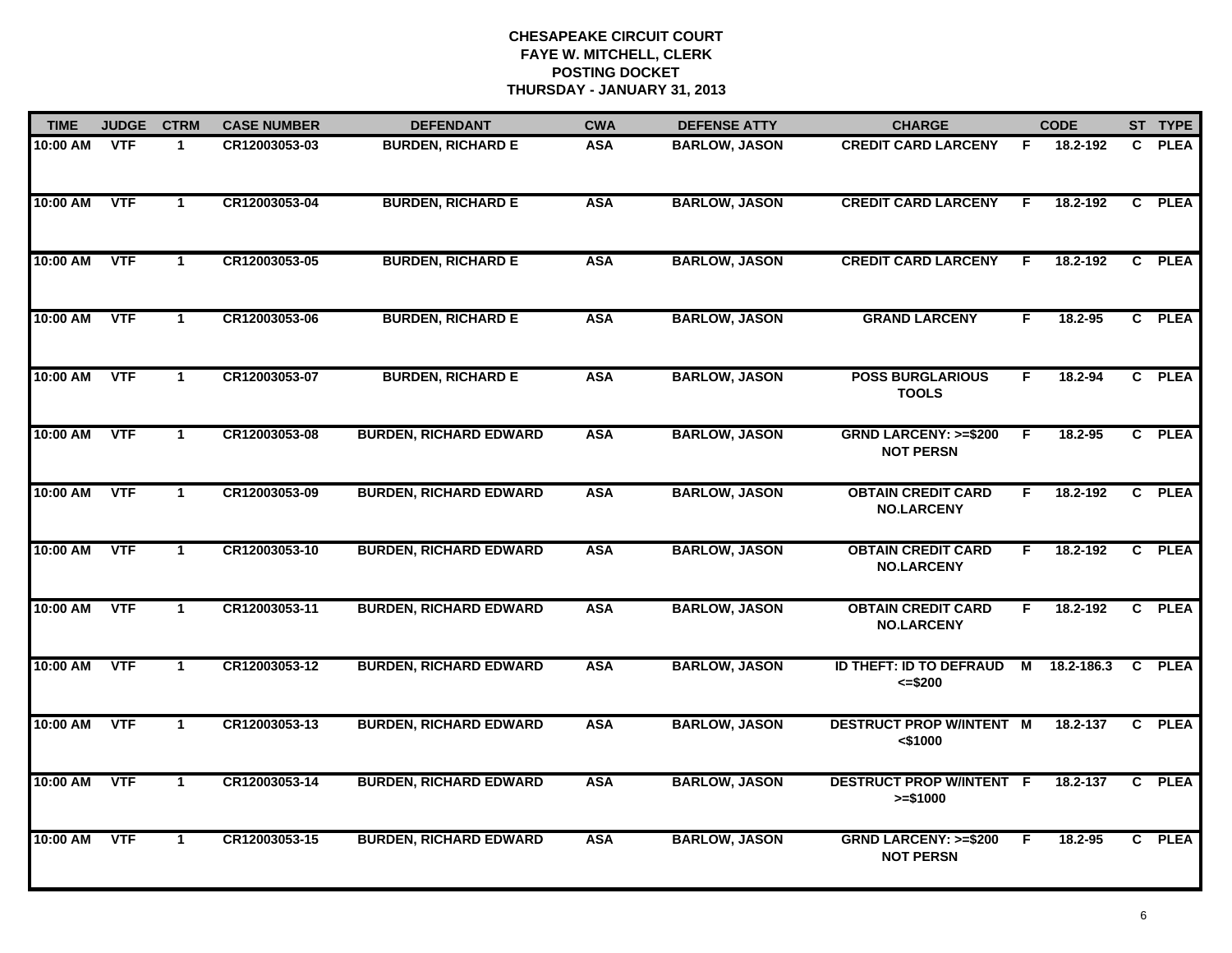| <b>TIME</b>  | <b>JUDGE</b> | <b>CTRM</b>          | <b>CASE NUMBER</b> | <b>DEFENDANT</b>              | <b>CWA</b> | <b>DEFENSE ATTY</b>  | <b>CHARGE</b>                                       |    | <b>CODE</b> |              | ST TYPE     |
|--------------|--------------|----------------------|--------------------|-------------------------------|------------|----------------------|-----------------------------------------------------|----|-------------|--------------|-------------|
| 10:00 AM VTF |              | $\mathbf 1$          | CR12003053-03      | <b>BURDEN, RICHARD E</b>      | <b>ASA</b> | <b>BARLOW, JASON</b> | <b>CREDIT CARD LARCENY</b>                          | F. | 18.2-192    | $\mathbf{c}$ | <b>PLEA</b> |
| 10:00 AM     | <b>VTF</b>   | $\mathbf{1}$         | CR12003053-04      | <b>BURDEN, RICHARD E</b>      | <b>ASA</b> | <b>BARLOW, JASON</b> | <b>CREDIT CARD LARCENY</b>                          | F. | 18.2-192    | $\mathbf{c}$ | <b>PLEA</b> |
| 10:00 AM     | <b>VTF</b>   | $\mathbf 1$          | CR12003053-05      | <b>BURDEN, RICHARD E</b>      | <b>ASA</b> | <b>BARLOW, JASON</b> | <b>CREDIT CARD LARCENY</b>                          | F  | 18.2-192    |              | C PLEA      |
| 10:00 AM     | <b>VTF</b>   | $\mathbf{1}$         | CR12003053-06      | <b>BURDEN, RICHARD E</b>      | <b>ASA</b> | <b>BARLOW, JASON</b> | <b>GRAND LARCENY</b>                                | F  | 18.2-95     |              | C PLEA      |
| 10:00 AM     | <b>VTF</b>   | $\mathbf{1}$         | CR12003053-07      | <b>BURDEN, RICHARD E</b>      | <b>ASA</b> | <b>BARLOW, JASON</b> | <b>POSS BURGLARIOUS</b><br><b>TOOLS</b>             | F. | 18.2-94     |              | C PLEA      |
| 10:00 AM VTF |              | $\mathbf{1}$         | CR12003053-08      | <b>BURDEN, RICHARD EDWARD</b> | <b>ASA</b> | <b>BARLOW, JASON</b> | <b>GRND LARCENY: &gt;=\$200</b><br><b>NOT PERSN</b> | F. | 18.2-95     |              | C PLEA      |
| 10:00 AM     | VTF          | $\mathbf{1}$         | CR12003053-09      | <b>BURDEN, RICHARD EDWARD</b> | <b>ASA</b> | <b>BARLOW, JASON</b> | <b>OBTAIN CREDIT CARD</b><br><b>NO.LARCENY</b>      | F. | 18.2-192    |              | C PLEA      |
| 10:00 AM     | <b>VTF</b>   | $\mathbf{1}$         | CR12003053-10      | <b>BURDEN, RICHARD EDWARD</b> | <b>ASA</b> | <b>BARLOW, JASON</b> | <b>OBTAIN CREDIT CARD</b><br><b>NO.LARCENY</b>      | F. | 18.2-192    |              | C PLEA      |
| 10:00 AM     | <b>VTF</b>   | $\mathbf{1}$         | CR12003053-11      | <b>BURDEN, RICHARD EDWARD</b> | <b>ASA</b> | <b>BARLOW, JASON</b> | <b>OBTAIN CREDIT CARD</b><br><b>NO.LARCENY</b>      | F. | 18.2-192    |              | C PLEA      |
| 10:00 AM     | <b>VTF</b>   | $\mathbf{1}$         | CR12003053-12      | <b>BURDEN, RICHARD EDWARD</b> | <b>ASA</b> | <b>BARLOW, JASON</b> | ID THEFT: ID TO DEFRAUD<br>$= $200$                 | M  | 18.2-186.3  |              | C PLEA      |
| 10:00 AM     | VTF          | $\mathbf 1$          | CR12003053-13      | <b>BURDEN, RICHARD EDWARD</b> | <b>ASA</b> | <b>BARLOW, JASON</b> | <b>DESTRUCT PROP W/INTENT M</b><br>$<$ \$1000       |    | 18.2-137    |              | C PLEA      |
| 10:00 AM     | <b>VTF</b>   | $\blacktriangleleft$ | CR12003053-14      | <b>BURDEN, RICHARD EDWARD</b> | <b>ASA</b> | <b>BARLOW, JASON</b> | <b>DESTRUCT PROP W/INTENT F</b><br>$>= $1000$       |    | 18.2-137    | C            | <b>PLEA</b> |
| 10:00 AM     | <b>VTF</b>   | $\mathbf{1}$         | CR12003053-15      | <b>BURDEN, RICHARD EDWARD</b> | <b>ASA</b> | <b>BARLOW, JASON</b> | <b>GRND LARCENY: &gt;=\$200</b><br><b>NOT PERSN</b> | F. | 18.2-95     |              | C PLEA      |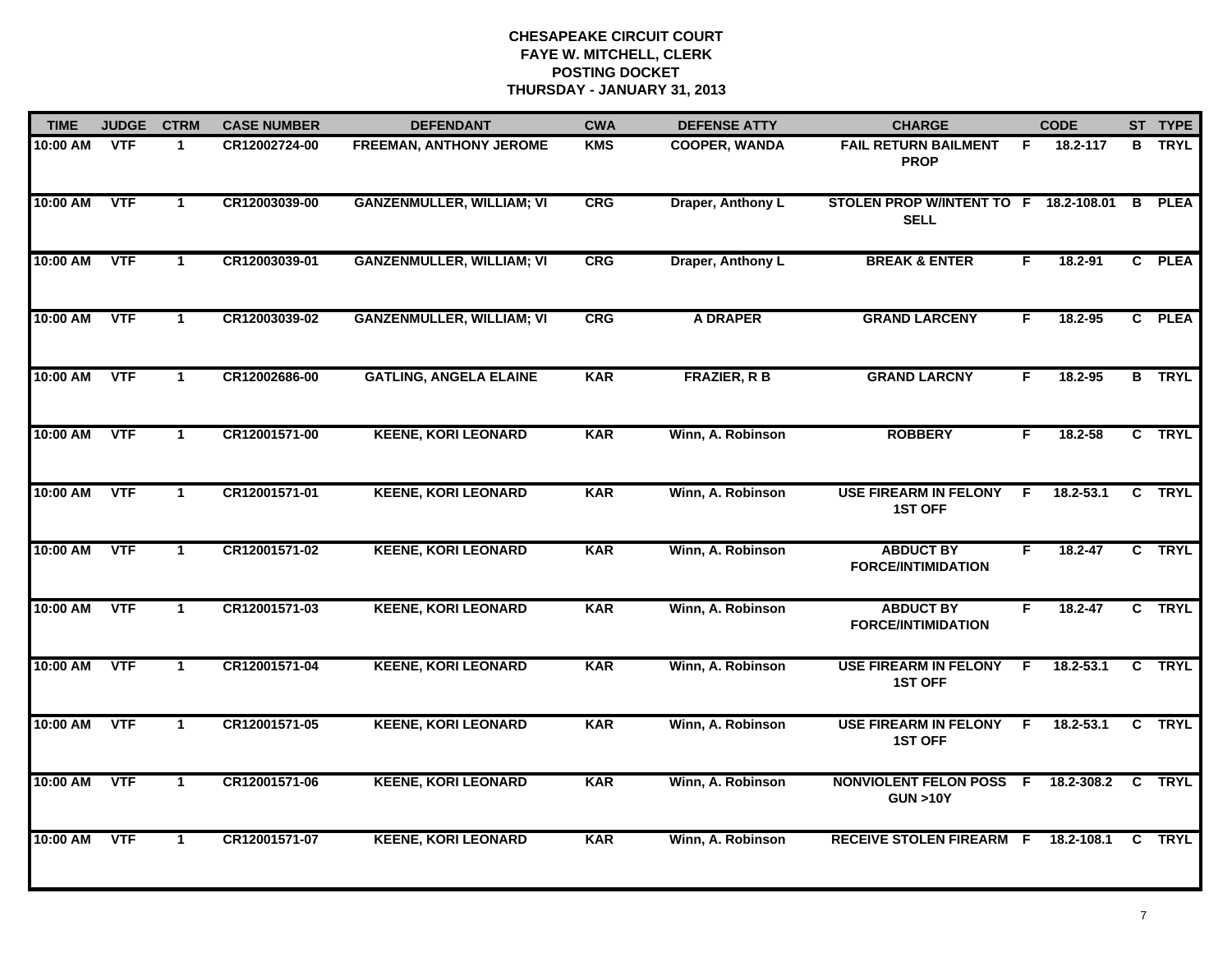| <b>TIME</b> | <b>JUDGE</b> | <b>CTRM</b>    | <b>CASE NUMBER</b> | <b>DEFENDANT</b>                 | <b>CWA</b> | <b>DEFENSE ATTY</b>  | <b>CHARGE</b>                                        |    | <b>CODE</b>   |                | ST TYPE       |
|-------------|--------------|----------------|--------------------|----------------------------------|------------|----------------------|------------------------------------------------------|----|---------------|----------------|---------------|
| 10:00 AM    | <b>VTF</b>   | 1.             | CR12002724-00      | <b>FREEMAN, ANTHONY JEROME</b>   | <b>KMS</b> | <b>COOPER, WANDA</b> | <b>FAIL RETURN BAILMENT</b><br><b>PROP</b>           | F. | 18.2-117      | B.             | <b>TRYL</b>   |
| 10:00 AM    | <b>VTF</b>   | $\mathbf{1}$   | CR12003039-00      | <b>GANZENMULLER, WILLIAM; VI</b> | <b>CRG</b> | Draper, Anthony L    | STOLEN PROP W/INTENT TO F 18.2-108.01<br><b>SELL</b> |    |               | B              | <b>PLEA</b>   |
| 10:00 AM    | <b>VTF</b>   | $\mathbf{1}$   | CR12003039-01      | <b>GANZENMULLER, WILLIAM; VI</b> | CRG        | Draper, Anthony L    | <b>BREAK &amp; ENTER</b>                             | F  | $18.2 - 91$   |                | C PLEA        |
| 10:00 AM    | <b>VTF</b>   | $\mathbf{1}$   | CR12003039-02      | <b>GANZENMULLER, WILLIAM; VI</b> | <b>CRG</b> | <b>A DRAPER</b>      | <b>GRAND LARCENY</b>                                 | F  | $18.2 - 95$   |                | C PLEA        |
| 10:00 AM    | <b>VTF</b>   | $\mathbf{1}$   | CR12002686-00      | <b>GATLING, ANGELA ELAINE</b>    | <b>KAR</b> | <b>FRAZIER, R B</b>  | <b>GRAND LARCNY</b>                                  | F. | $18.2 - 95$   |                | <b>B</b> TRYL |
| 10:00 AM    | <b>VTF</b>   | $\mathbf{1}$   | CR12001571-00      | <b>KEENE, KORI LEONARD</b>       | <b>KAR</b> | Winn, A. Robinson    | <b>ROBBERY</b>                                       | F. | 18.2-58       |                | C TRYL        |
| 10:00 AM    | VTF          | $\overline{1}$ | CR12001571-01      | <b>KEENE, KORI LEONARD</b>       | <b>KAR</b> | Winn, A. Robinson    | <b>USE FIREARM IN FELONY</b><br><b>1ST OFF</b>       | F. | $18.2 - 53.1$ | $\overline{c}$ | <b>TRYL</b>   |
| 10:00 AM    | <b>VTF</b>   | $\mathbf{1}$   | CR12001571-02      | <b>KEENE, KORI LEONARD</b>       | <b>KAR</b> | Winn, A. Robinson    | <b>ABDUCT BY</b><br><b>FORCE/INTIMIDATION</b>        | F  | 18.2-47       |                | C TRYL        |
| 10:00 AM    | <b>VTF</b>   | $\mathbf 1$    | CR12001571-03      | <b>KEENE, KORI LEONARD</b>       | <b>KAR</b> | Winn, A. Robinson    | <b>ABDUCT BY</b><br><b>FORCE/INTIMIDATION</b>        | F  | $18.2 - 47$   |                | C TRYL        |
| 10:00 AM    | <b>VTF</b>   | $\mathbf{1}$   | CR12001571-04      | <b>KEENE, KORI LEONARD</b>       | <b>KAR</b> | Winn, A. Robinson    | <b>USE FIREARM IN FELONY</b><br><b>1ST OFF</b>       | F. | 18.2-53.1     |                | C TRYL        |
| 10:00 AM    | <b>VTF</b>   | $\mathbf{1}$   | CR12001571-05      | <b>KEENE, KORI LEONARD</b>       | <b>KAR</b> | Winn, A. Robinson    | <b>USE FIREARM IN FELONY</b><br><b>1ST OFF</b>       | F. | 18.2-53.1     |                | C TRYL        |
| 10:00 AM    | <b>VTF</b>   | $\mathbf{1}$   | CR12001571-06      | <b>KEENE, KORI LEONARD</b>       | <b>KAR</b> | Winn, A. Robinson    | <b>NONVIOLENT FELON POSS F</b><br><b>GUN &gt;10Y</b> |    | 18.2-308.2    | $\mathbf{C}$   | <b>TRYL</b>   |
| 10:00 AM    | <b>VTF</b>   | $\mathbf{1}$   | CR12001571-07      | <b>KEENE, KORI LEONARD</b>       | <b>KAR</b> | Winn, A. Robinson    | RECEIVE STOLEN FIREARM F 18.2-108.1                  |    |               | $\mathbf{c}$   | <b>TRYL</b>   |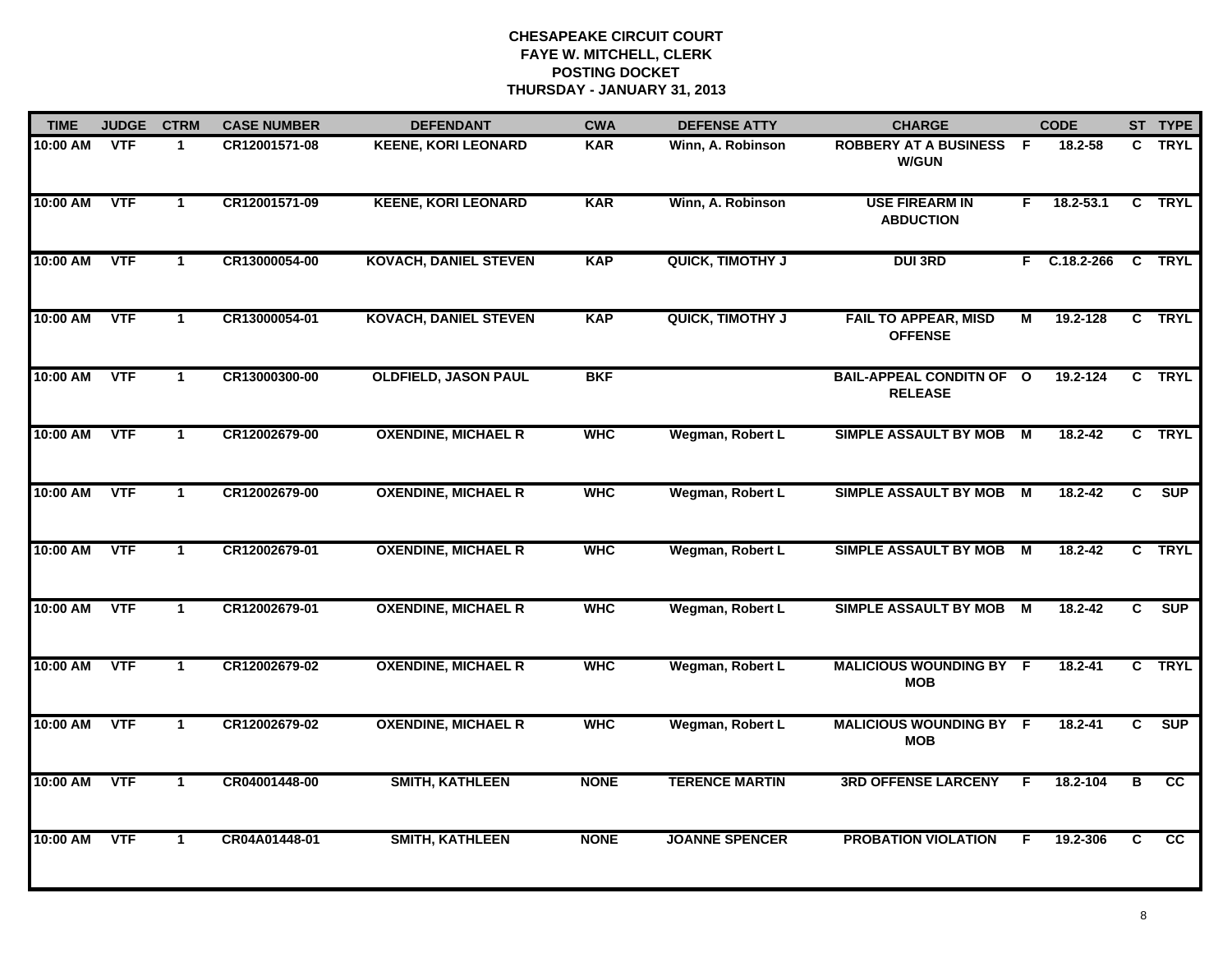| <b>TIME</b> | <b>JUDGE</b> | <b>CTRM</b>  | <b>CASE NUMBER</b> | <b>DEFENDANT</b>             | <b>CWA</b>  | <b>DEFENSE ATTY</b>     | <b>CHARGE</b>                                     |                | <b>CODE</b>    |                | ST TYPE                |
|-------------|--------------|--------------|--------------------|------------------------------|-------------|-------------------------|---------------------------------------------------|----------------|----------------|----------------|------------------------|
| 10:00 AM    | <b>VTF</b>   | $\mathbf 1$  | CR12001571-08      | <b>KEENE, KORI LEONARD</b>   | <b>KAR</b>  | Winn, A. Robinson       | <b>ROBBERY AT A BUSINESS F</b><br><b>W/GUN</b>    |                | 18.2-58        | C.             | <b>TRYL</b>            |
| 10:00 AM    | <b>VTF</b>   | $\mathbf{1}$ | CR12001571-09      | <b>KEENE, KORI LEONARD</b>   | <b>KAR</b>  | Winn, A. Robinson       | <b>USE FIREARM IN</b><br><b>ABDUCTION</b>         | F.             | $18.2 - 53.1$  |                | C TRYL                 |
| 10:00 AM    | <b>VTF</b>   | $\mathbf{1}$ | CR13000054-00      | <b>KOVACH, DANIEL STEVEN</b> | <b>KAP</b>  | <b>QUICK, TIMOTHY J</b> | <b>DUI 3RD</b>                                    |                | $F$ C.18.2-266 |                | C TRYL                 |
| 10:00 AM    | <b>VTF</b>   | $\mathbf 1$  | CR13000054-01      | <b>KOVACH, DANIEL STEVEN</b> | <b>KAP</b>  | <b>QUICK, TIMOTHY J</b> | <b>FAIL TO APPEAR, MISD</b><br><b>OFFENSE</b>     | М              | 19.2-128       |                | C TRYL                 |
| 10:00 AM    | <b>VTF</b>   | $\mathbf{1}$ | CR13000300-00      | <b>OLDFIELD, JASON PAUL</b>  | <b>BKF</b>  |                         | <b>BAIL-APPEAL CONDITN OF O</b><br><b>RELEASE</b> |                | 19.2-124       |                | C TRYL                 |
| 10:00 AM    | <b>VTF</b>   | $\mathbf{1}$ | CR12002679-00      | <b>OXENDINE, MICHAEL R</b>   | <b>WHC</b>  | Wegman, Robert L        | <b>SIMPLE ASSAULT BY MOB</b>                      | М              | 18.2-42        |                | C TRYL                 |
| 10:00 AM    | <b>VTF</b>   | $\mathbf{1}$ | CR12002679-00      | <b>OXENDINE, MICHAEL R</b>   | <b>WHC</b>  | Wegman, Robert L        | SIMPLE ASSAULT BY MOB M                           |                | 18.2-42        | $\overline{c}$ | SUP                    |
| 10:00 AM    | <b>VTF</b>   | $\mathbf{1}$ | CR12002679-01      | <b>OXENDINE, MICHAEL R</b>   | <b>WHC</b>  | Wegman, Robert L        | <b>SIMPLE ASSAULT BY MOB</b>                      | $\overline{M}$ | 18.2-42        |                | C TRYL                 |
| 10:00 AM    | <b>VTF</b>   | $\mathbf 1$  | CR12002679-01      | <b>OXENDINE, MICHAEL R</b>   | <b>WHC</b>  | Wegman, Robert L        | SIMPLE ASSAULT BY MOB M                           |                | 18.2-42        | C.             | <b>SUP</b>             |
| 10:00 AM    | <b>VTF</b>   | $\mathbf{1}$ | CR12002679-02      | <b>OXENDINE, MICHAEL R</b>   | <b>WHC</b>  | Wegman, Robert L        | <b>MALICIOUS WOUNDING BY F</b><br><b>MOB</b>      |                | $18.2 - 41$    |                | C TRYL                 |
| 10:00 AM    | <b>VTF</b>   | $\mathbf{1}$ | CR12002679-02      | <b>OXENDINE, MICHAEL R</b>   | <b>WHC</b>  | Wegman, Robert L        | <b>MALICIOUS WOUNDING BY F</b><br><b>MOB</b>      |                | 18.2-41        | C              | <b>SUP</b>             |
| 10:00 AM    | <b>VTF</b>   | $\mathbf 1$  | CR04001448-00      | <b>SMITH, KATHLEEN</b>       | <b>NONE</b> | <b>TERENCE MARTIN</b>   | <b>3RD OFFENSE LARCENY</b>                        | E              | 18.2-104       | В              | $\overline{\text{cc}}$ |
| 10:00 AM    | <b>VTF</b>   | $\mathbf{1}$ | CR04A01448-01      | <b>SMITH, KATHLEEN</b>       | <b>NONE</b> | <b>JOANNE SPENCER</b>   | <b>PROBATION VIOLATION</b>                        | F.             | 19.2-306       | $\overline{c}$ | $\overline{cc}$        |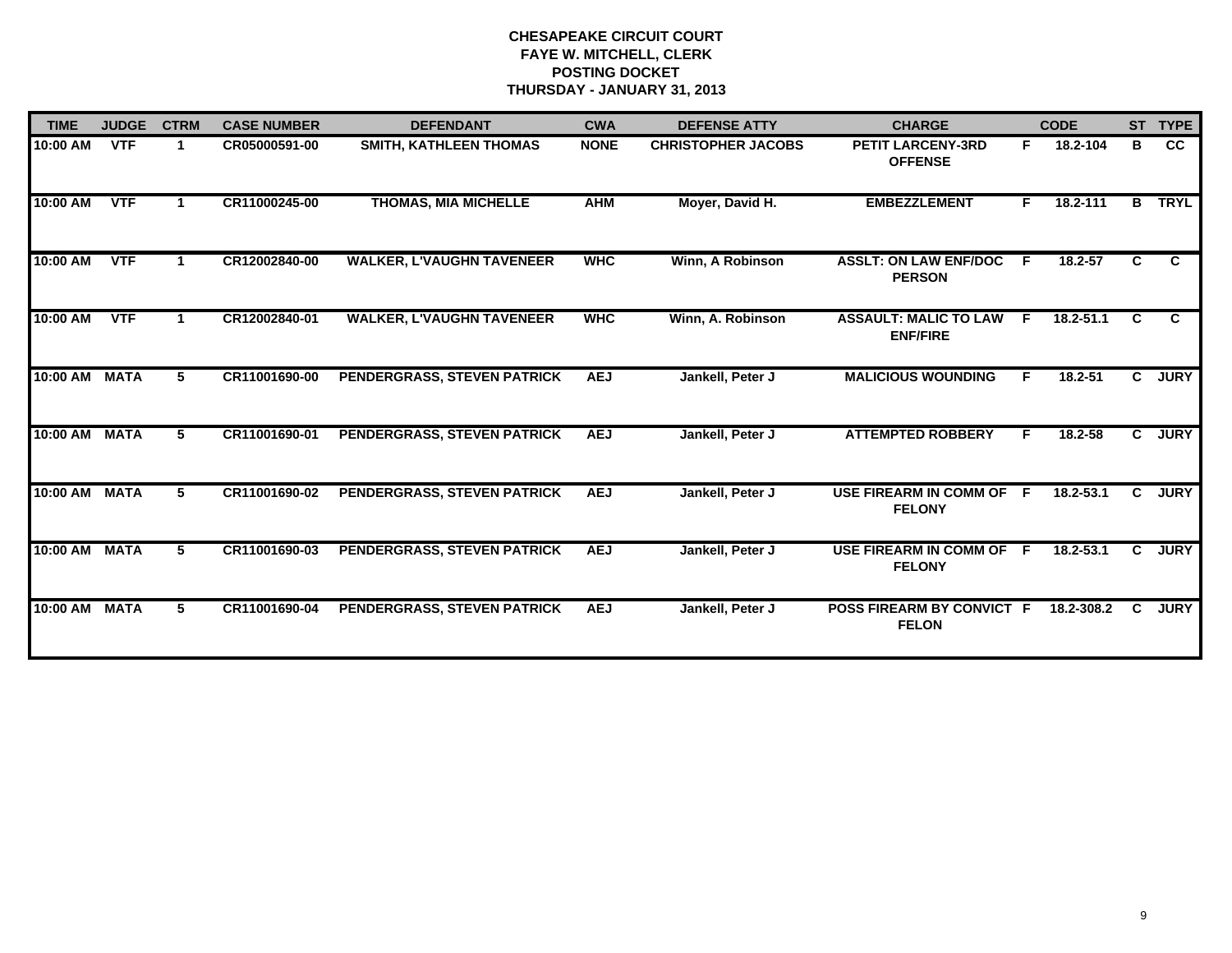| <b>TIME</b> | <b>JUDGE</b> | <b>CTRM</b> | <b>CASE NUMBER</b> | <b>DEFENDANT</b>                 | <b>CWA</b>  | <b>DEFENSE ATTY</b>       | <b>CHARGE</b>                                   |     | <b>CODE</b>   |    | ST TYPE     |
|-------------|--------------|-------------|--------------------|----------------------------------|-------------|---------------------------|-------------------------------------------------|-----|---------------|----|-------------|
| 10:00 AM    | <b>VTF</b>   | 1           | CR05000591-00      | <b>SMITH, KATHLEEN THOMAS</b>    | <b>NONE</b> | <b>CHRISTOPHER JACOBS</b> | <b>PETIT LARCENY-3RD</b><br><b>OFFENSE</b>      | F.  | 18.2-104      | В  | <b>CC</b>   |
| 10:00 AM    | <b>VTF</b>   |             | CR11000245-00      | <b>THOMAS, MIA MICHELLE</b>      | <b>AHM</b>  | Moyer, David H.           | <b>EMBEZZLEMENT</b>                             | F   | 18.2-111      | В  | <b>TRYL</b> |
| 10:00 AM    | <b>VTF</b>   | 1           | CR12002840-00      | <b>WALKER, L'VAUGHN TAVENEER</b> | <b>MHC</b>  | Winn, A Robinson          | <b>ASSLT: ON LAW ENF/DOC</b><br><b>PERSON</b>   | E   | $18.2 - 57$   | C. | C.          |
| 10:00 AM    | <b>VTF</b>   |             | CR12002840-01      | <b>WALKER, L'VAUGHN TAVENEER</b> | <b>WHC</b>  | Winn, A. Robinson         | <b>ASSAULT: MALIC TO LAW</b><br><b>ENF/FIRE</b> | F.  | $18.2 - 51.1$ | C. | C.          |
| 10:00 AM    | <b>MATA</b>  | 5           | CR11001690-00      | PENDERGRASS, STEVEN PATRICK      | <b>AEJ</b>  | Jankell, Peter J          | <b>MALICIOUS WOUNDING</b>                       | F.  | 18.2-51       | C. | <b>JURY</b> |
| 10:00 AM    | <b>MATA</b>  | 5           | CR11001690-01      | PENDERGRASS, STEVEN PATRICK      | <b>AEJ</b>  | Jankell, Peter J          | <b>ATTEMPTED ROBBERY</b>                        | F   | 18.2-58       | C. | <b>JURY</b> |
| 10:00 AM    | <b>MATA</b>  | 5           | CR11001690-02      | PENDERGRASS, STEVEN PATRICK      | <b>AEJ</b>  | Jankell, Peter J          | USE FIREARM IN COMM OF F<br><b>FELONY</b>       |     | 18.2-53.1     | C. | <b>JURY</b> |
| 10:00 AM    | <b>MATA</b>  | 5.          | CR11001690-03      | PENDERGRASS, STEVEN PATRICK      | <b>AEJ</b>  | Jankell, Peter J          | <b>USE FIREARM IN COMM OF</b><br><b>FELONY</b>  | - F | $18.2 - 53.1$ | C. | <b>JURY</b> |
| 10:00 AM    | <b>MATA</b>  | 5           | CR11001690-04      | PENDERGRASS, STEVEN PATRICK      | <b>AEJ</b>  | Jankell, Peter J          | POSS FIREARM BY CONVICT F<br><b>FELON</b>       |     | 18.2-308.2    | C. | <b>JURY</b> |